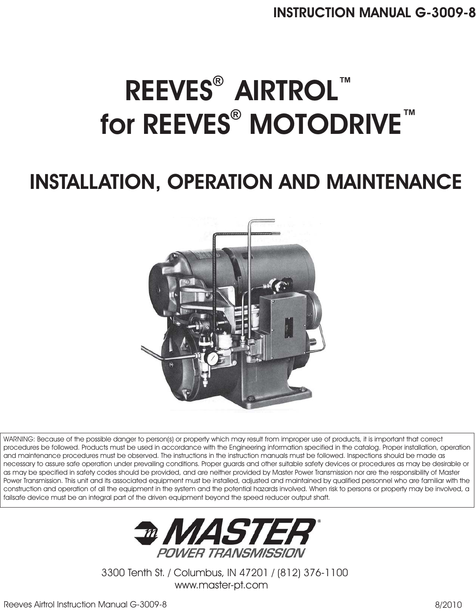# **REEVES® AIRTROL™ for REEVES<sup>®</sup> MOTODRIVE™**

## **INSTALLATION, OPERATION AND MAINTENANCE**



WARNING: Because of the possible danger to person(s) or property which may result from improper use of products, it is important that correct procedures be followed. Products must be used in accordance with the Engineering information specified in the catalog. Proper installation, operation and maintenance procedures must be observed. The instructions in the instruction manuals must be followed. Inspections should be made as necessary to assure safe operation under prevailing conditions. Proper guards and other suitable safety devices or procedures as may be desirable or as may be specified in safety codes should be provided, and are neither provided by Master Power Transmission nor are the responsibility of Master Power Transmission. This unit and its associated equipment must be installed, adjusted and maintained by qualified personnel who are familiar with the construction and operation of all the equipment in the system and the potential hazards involved. When risk to persons or property may be involved, a failsafe device must be an integral part of the driven equipment beyond the speed reducer output shaft.



3300 Tenth St. / Columbus, IN 47201 / (812) 376-1100 www.master-pt.com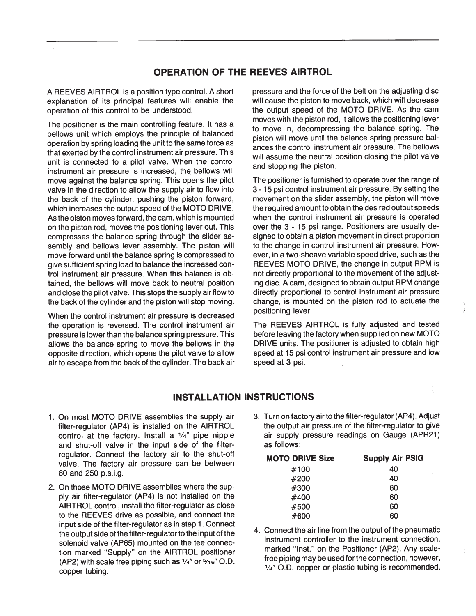#### **OPERATION OF THE REEVES AIRTROL**

A REEVES AIRTROL is a position type control. A short explanation of its principal features will enable the operation of this control to be understood.

The positioner is the main controlling feature. It has a bellows unit which employs the principle of balanced operation by spring loading the unit to the same force as that exerted by the control instrument air pressure. This unit is connected to a pilot valve. When the control instrument air pressure is increased, the bellows will move against the balance spring. This opens the pilot valve in the direction to allow the supply air to flow into the back of the cylinder, pushing the piston forward, which increases the output speed of the MOTO DRIVE. As the piston moves forward, the cam, which is mounted on the piston rod, moves the positioning lever out. This compresses the balance spring through the slider assembly and bellows lever assembly. The piston will move forward until the balance spring is compressed to give sufficient spring load to balance the increased control instrument air pressure. When this balance is obtained, the bellows will move back to neutral position and close the pilot valve. This stops the supply air flow to the back of the cylinder and the piston will stop moving.

When the control instrument air pressure is decreased the operation is reversed. The control instrument air pressure is lower than the balance spring pressure. This allows the balance spring to move the bellows in the opposite direction, which opens the pilot valve to allow air to escape from the back of the cylinder. The back air pressure and the force of the belt on the adjusting disc will cause the piston to move back, which will decrease the output speed of the MOTO DRIVE. As the cam moves with the piston rod, it allows the positioning lever to move in, decompressing the balance spring. The piston will move until the balance spring pressure balances the control instrument air pressure. The bellows will assume the neutral position closing the pilot valve and stopping the piston.

The positioner is furnished to operate over the range of 3 - 15 psi control instrument air pressure. By setting the movement on the slider assembly, the piston will move the required amount to obtain the desired output speeds when the control instrument air pressure is operated over the 3 - 15 psi range. Positioners are usually designed to obtain a piston movement in direct proportion to the change in control instrument air pressure. However, in a two-sheave variable speed drive, such as the REEVES MOTO DRIVE, the change in output RPM is not directly proportional to the movement of the adjusting disc. A cam, designed to obtain output RPM change directly proportional to control instrument air pressure change, is mounted on the piston rod to actuate the positioning lever.

The REEVES AIRTROL is fully adjusted and tested before leaving the factory when supplied on new MOTO DRIVE units. The positioner is adjusted to obtain high speed at 15 psi control instrument air pressure and low speed at 3 psi.

#### **INSTALLATION INSTRUCTIONS**

- 1. On most MOTO DRIVE assemblies the supply air filter-regulator (AP4) is installed on the AIRTROL control at the factory. Install a 1/4" pipe nipple and shut-off valve in the input side of the filterregulator. Connect the factory air to the shut-off valve. The factory air pressure can be between 80 and 250 p.s.i.g.
- 2. On those MOTO DRIVE assemblies where the supply air filter-regulator (AP4) is not installed on the AIRTROL control, install the filter-regulator as close to the REEVES drive as possible, and connect the input side of the filter-regulator as in step 1. Connect the output side of the filter-regulator to the input of the solenoid valve (AP65) mounted on the tee connection marked "Supply" on the AIRTROL positioner (AP2) with scale free piping such as  $\frac{1}{4}$ " or  $\frac{5}{16}$ " O.D. copper tubing.
- 3. Turn on factory air to the filter-regulator (AP4). Adjust the output air pressure of the filter-regulator to give air supply pressure readings on Gauge (APR21) as follows:

| <b>MOTO DRIVE Size</b> | <b>Supply Air PSIG</b> |
|------------------------|------------------------|
| #100                   | 40                     |
| #200                   | 40                     |
| #300                   | 60                     |
| #400                   | 60                     |
| #500                   | 60                     |
| #600                   | 60                     |

4. Connect the air line from the output of the pneumatic instrument controller to the instrument connection, marked "Inst." on the Positioner (AP2). Any scalefree piping may be used for the connection, however, 1/4" O.D. copper or plastic tubing is recommended.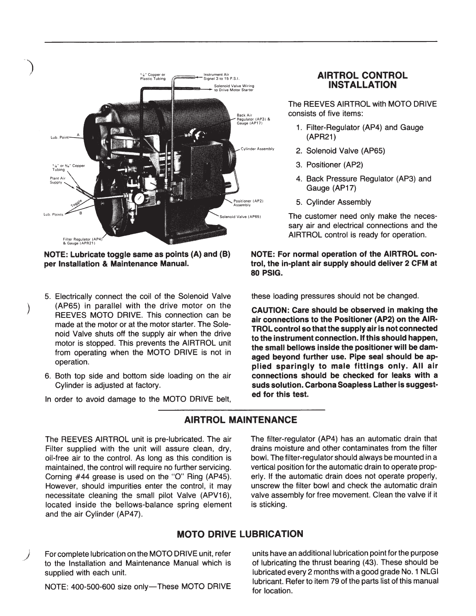

NOTE: Lubricate toggle same as points (A) and (B) per Installation & Maintenance Manual.

- 5. Electrically connect the coil of the Solenoid Valve (AP65) in parallel with the drive motor on the REEVES MOTO DRIVE. This connection can be made at the motor or at the motor starter. The Solenoid Valve shuts off the supply air when the drive motor is stopped. This prevents the AIRTROL unit from operating when the MOTO DRIVE is not in operation.
- 6. Both top side and bottom side loading on the air Cylinder is adjusted at factory.
- In order to avoid damage to the MOTO DRIVE belt,

**AIRTROL MAINTENANCE** 

The REEVES AIRTROL unit is pre-lubricated. The air Filter supplied with the unit will assure clean, dry, oil-free air to the control. As long as this condition is maintained, the control will require no further servicing. Corning #44 grease is used on the "O" Ring (AP45). However, should impurities enter the control, it may necessitate cleaning the small pilot Valve (APV16), located inside the bellows-balance spring element and the air Cylinder (AP47).

For complete lubrication on the MOTO DRIVE unit, refer to the Installation and Maintenance Manual which is supplied with each unit.

NOTE: 400-500-600 size only-These MOTO DRIVE

#### **AIRTROL CONTROL INSTALLATION**

The REEVES AIRTROL with MOTO DRIVE consists of five items:

- 1. Filter-Regulator (AP4) and Gauge (APR21)
- 2. Solenoid Valve (AP65)
- 3. Positioner (AP2)
- 4. Back Pressure Regulator (AP3) and Gauge (AP17)
- 5. Cylinder Assembly

The customer need only make the necessary air and electrical connections and the AIRTROL control is ready for operation.

NOTE: For normal operation of the AIRTROL control, the in-plant air supply should deliver 2 CFM at **80 PSIG.** 

these loading pressures should not be changed.

CAUTION: Care should be observed in making the air connections to the Positioner (AP2) on the AIR-TROL control so that the supply air is not connected to the instrument connection. If this should happen, the small bellows inside the positioner will be damaged beyond further use. Pipe seal should be applied sparingly to male fittings only. All air connections should be checked for leaks with a suds solution. Carbona Soapless Lather is suggested for this test.

The filter-regulator (AP4) has an automatic drain that drains moisture and other contaminates from the filter bowl. The filter-regulator should always be mounted in a vertical position for the automatic drain to operate properly. If the automatic drain does not operate properly, unscrew the filter bowl and check the automatic drain valve assembly for free movement. Clean the valve if it is sticking.

#### **MOTO DRIVE LUBRICATION**

units have an additional lubrication point for the purpose of lubricating the thrust bearing (43). These should be lubricated every 2 months with a good grade No. 1 NLGI lubricant. Refer to item 79 of the parts list of this manual for location.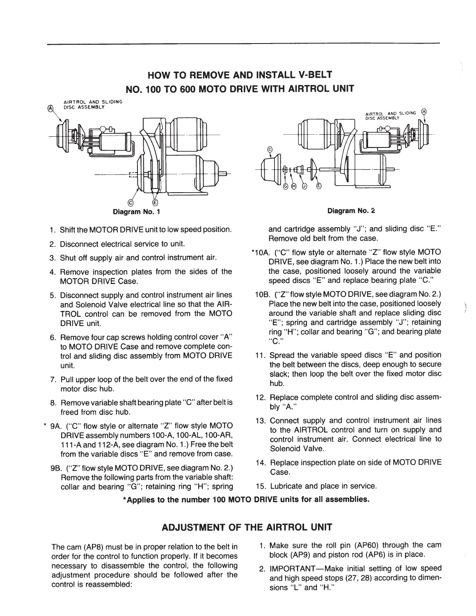### HOW TO REMOVE AND INSTALL V-BELT NO. 100 TO 600 MOTO DRIVE WITH AIRTROL UNIT



- 1. Shift the MOTOR DRIVE unit to low speed position.
- 2. Disconnect electrical service to unit.
- 3. Shut off supply air and control instrument air.
- 4. Remove inspection plates from the sides of the **MOTOR DRIVE Case.**
- 5. Disconnect supply and control instrument air lines and Solenoid Valve electrical line so that the AIR-TROL control can be removed from the MOTO DRIVE unit.
- 6. Remove four cap screws holding control cover "A" to MOTO DRIVE Case and remove complete control and sliding disc assembly from MOTO DRIVE unit.
- 7. Pull upper loop of the belt over the end of the fixed motor disc hub.
- 8. Remove variable shaft bearing plate "C" after belt is freed from disc hub.
- \* 9A. ("C" flow style or alternate "Z" flow style MOTO DRIVE assembly numbers 100-A, 100-AL, 100-AR, 111-A and 112-A, see diagram No. 1.) Free the belt from the variable discs "E" and remove from case.
	- 9B. ("Z" flow style MOTO DRIVE, see diagram No. 2.) Remove the following parts from the variable shaft: collar and bearing "G"; retaining ring "H"; spring



#### Diagram No. 2

and cartridge assembly "J"; and sliding disc "E." Remove old belt from the case.

- \*10A. ("C" flow style or alternate "Z" flow style MOTO DRIVE, see diagram No. 1.) Place the new belt into the case, positioned loosely around the variable speed discs "E" and replace bearing plate "C."
- 10B. ("Z" flow style MOTO DRIVE, see diagram No. 2.) Place the new belt into the case, positioned loosely around the variable shaft and replace sliding disc "E": spring and cartridge assembly "J"; retaining ring "H"; collar and bearing "G"; and bearing plate "C."
- 11. Spread the variable speed discs "E" and position the belt between the discs, deep enough to secure slack: then loop the belt over the fixed motor disc hub.
- 12. Replace complete control and sliding disc assembly "A."
- 13. Connect supply and control instrument air lines to the AIRTROL control and turn on supply and control instrument air. Connect electrical line to Solenoid Valve.
- 14. Replace inspection plate on side of MOTO DRIVE Case.
- 15. Lubricate and place in service.

#### \*Applies to the number 100 MOTO DRIVE units for all assemblies.

#### **ADJUSTMENT OF THE AIRTROL UNIT**

The cam (AP8) must be in proper relation to the belt in order for the control to function properly. If it becomes necessary to disassemble the control, the following adjustment procedure should be followed after the control is reassembled:

- 1. Make sure the roll pin (AP60) through the cam block (AP9) and piston rod (AP6) is in place.
- 2. IMPORTANT-Make initial setting of low speed and high speed stops (27, 28) according to dimensions "L" and "H."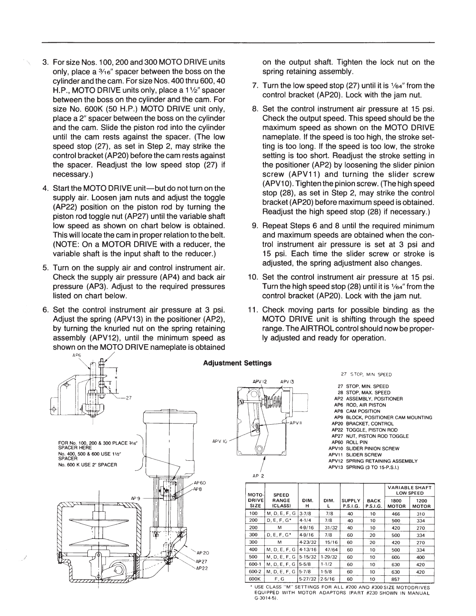- 3. For size Nos. 100, 200 and 300 MOTO DRIVE units only, place a 3/16" spacer between the boss on the cylinder and the cam. For size Nos. 400 thru 600, 40 H.P., MOTO DRIVE units only, place a 11/2" spacer between the boss on the cylinder and the cam. For size No. 600K (50 H.P.) MOTO DRIVE unit only. place a 2" spacer between the boss on the cylinder and the cam. Slide the piston rod into the cylinder until the cam rests against the spacer. (The low speed stop (27), as set in Step 2, may strike the control bracket (AP20) before the cam rests against the spacer. Readiust the low speed stop (27) if necessary.)
- 4. Start the MOTO DRIVE unit-but do not turn on the supply air. Loosen jam nuts and adjust the toggle (AP22) position on the piston rod by turning the piston rod toggle nut (AP27) until the variable shaft low speed as shown on chart below is obtained. This will locate the cam in proper relation to the belt. (NOTE: On a MOTOR DRIVE with a reducer, the variable shaft is the input shaft to the reducer.)
- 5. Turn on the supply air and control instrument air. Check the supply air pressure (AP4) and back air pressure (AP3). Adjust to the required pressures listed on chart below.
- 6. Set the control instrument air pressure at 3 psi. Adjust the spring (APV13) in the positioner (AP2), by turning the knurled nut on the spring retaining assembly (APV12), until the minimum speed as shown on the MOTO DRIVE nameplate is obtained

on the output shaft. Tighten the lock nut on the spring retaining assembly.

- 7. Turn the low speed stop (27) until it is 1/64" from the control bracket (AP20). Lock with the jam nut.
- 8. Set the control instrument air pressure at 15 psi. Check the output speed. This speed should be the maximum speed as shown on the MOTO DRIVE nameplate. If the speed is too high, the stroke setting is too long. If the speed is too low, the stroke setting is too short. Readjust the stroke setting in the positioner (AP2) by loosening the slider pinion screw (APV11) and turning the slider screw (APV10). Tighten the pinion screw. (The high speed stop (28), as set in Step 2, may strike the control bracket (AP20) before maximum speed is obtained. Readjust the high speed stop (28) if necessary.)
- 9. Repeat Steps 6 and 8 until the required minimum and maximum speeds are obtained when the control instrument air pressure is set at 3 psi and 15 psi. Each time the slider screw or stroke is adjusted, the spring adjustment also changes.
- 10. Set the control instrument air pressure at 15 psi. Turn the high speed stop (28) until it is 1/64" from the control bracket (AP20). Lock with the jam nut.
- 11. Check moving parts for possible binding as the MOTO DRIVE unit is shifting through the speed range. The AIRTROL control should now be properly adjusted and ready for operation.



USE CLASS "M" SETTINGS FOR ALL #200 AND #300 SIZE MOTODRIVES EQUIPPED WITH MOTOR ADAPTORS (PART #230 SHOWN IN MANUAL  $G-3014-5$ ).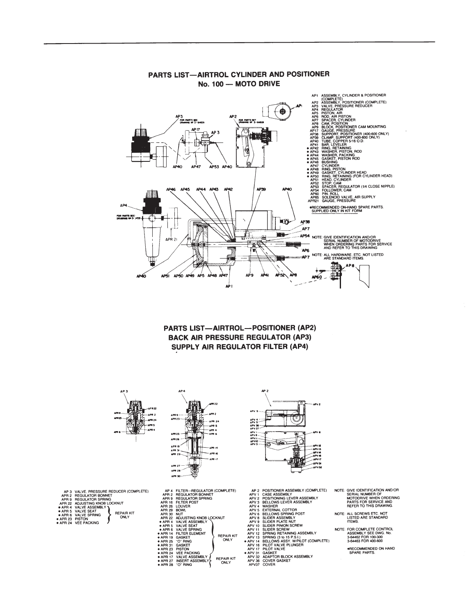

#### PARTS LIST-AIRTROL CYLINDER AND POSITIONER No. 100 - MOTO DRIVE

**PARTS LIST-AIRTROL-POSITIONER (AP2) BACK AIR PRESSURE REGULATOR (AP3)** SUPPLY AIR REGULATOR FILTER (AP4)



|                                                                                                                      |                                                                                                                   | APR 29-<br>$-$ arr is<br><b>APR 27-</b><br>APR 28<br>APR 50                                                                                                                                                                                                                                                                                                                                          | <b>APR 17</b>                                                 |
|----------------------------------------------------------------------------------------------------------------------|-------------------------------------------------------------------------------------------------------------------|------------------------------------------------------------------------------------------------------------------------------------------------------------------------------------------------------------------------------------------------------------------------------------------------------------------------------------------------------------------------------------------------------|---------------------------------------------------------------|
| IRE REDUCER (COMPLETE)<br><b>NNET</b><br><b>RING</b><br><b>DB LOCKNUT</b><br>LY١<br><b>REPAIR KIT</b><br><b>ONLY</b> | APR 29 BOWL<br>APR 30 NUT<br>· APR 19 GASKET<br><b>. APR 31 GASKET</b><br><b>APR 23 PISTON</b><br><b>• APR 28</b> | AP 4 FILTER-REGULATOR (COMPLETE)<br>APR 2 REGULATOR BONNET<br>APR 9 REGULATOR SPRING<br>APR 16 FILTER POST<br>APR 26 LOUVER<br>APR 22 ADJUSTING KNOB LOCKNUT<br><b>. APR 4 VALVE ASSEMBLY</b><br>. APR 5 VALVE SEAT<br><b>. APR 6 VALVE SPRING</b><br>. APR 14 FILTER ELEMENT<br><b>• APR 25 "O" RING</b><br>. APR 24 VEE PACKING<br>. APR 17 VALVE ASSEMBLY<br>. APR 27 INSERT ASSEMBLY<br>"O" RING | <b>REPAIR KIT</b><br><b>ONLY</b><br><b>REPAIR KIT</b><br>ONLY |



AP4

| <b>APV 36</b><br><b>APV 37</b><br>APV I<br>APV8 | <b>ALCOHOL: UNK</b> |                    |
|-------------------------------------------------|---------------------|--------------------|
| <b>APVII</b><br>APVIO-                          |                     |                    |
| APV <sub>3</sub>                                |                     | w۵<br><b>SPV C</b> |
|                                                 |                     |                    |
|                                                 |                     | <b>MV</b>          |
|                                                 |                     | ov                 |
|                                                 |                     |                    |

APV 4

- AP 2 POSITIONER ASSEMBLY (COMPLETE)<br>APV 1 CASE ASSEMBLY<br>APV 2 POSITIONING LEVER ASSEMBLY<br>APV 3 BELLOWS LEVER ASSEMBLY<br>APV 4 WASHER<br>APV 5 EXTERNAL COTTOR<br>APV 5 SULDER ASSEMBLY<br>APV 10 SUDER ASSEMBLY<br>APV 10 SUDER ASSEMBLY<br>APV
- 
- 
- 
- 
- 
- 
- 
- -
- 
- 
- 
- 
- 
- 

NOTE: GIVE IDENTIFICATION AND/OR<br>SERIAL NUMBER OF<br>MOTODRIVE WHEN ORDERING<br>PARTS FOR SERVICE AND<br>REFER TO THIS DRAWING.

### NOTE: ALL SCREWS ETC. NOT<br>LISTED ARE STANDARD<br>ITEMS.

NOTE: FOR COMPLETE CONTROL<br>ASSEMBLY SEE DWG. No. 3-64462 FOR 100-300<br>3-64463 FOR 400-600

**eRECOMMENDED ON HAND**<br>SPARE PARTS.

AP3 VALVE, PRESSU<br>APR 2 REGULATOR BO<br>APR 22 ADJUSTING KNO<br>APR 22 ADJUSTING KNO<br>• APR 4 VALVE SEAT<br>• APR 5 VALVE SPRING<br>• APR 23 PISTON<br>• APR 23 PISTON<br>• APR 24 VEE PACKING ļ REPAIR KIT

- APV 12<br>- APV 13<br>- APV 16<br>- APV 17<br>- APV 31